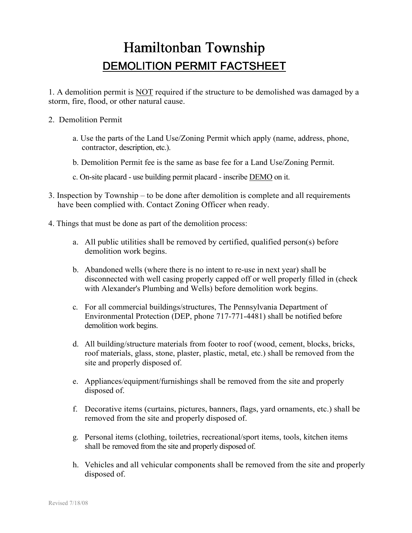## Hamiltonban Township DEMOLITION PERMIT FACTSHEET

1. A demolition permit is NOT required if the structure to be demolished was damaged by a storm, fire, flood, or other natural cause.

- 2. Demolition Permit
	- a. Use the parts of the Land Use/Zoning Permit which apply (name, address, phone, contractor, description, etc.).
	- b. Demolition Permit fee is the same as base fee for a Land Use/Zoning Permit.
	- c. On-site placard use building permit placard inscribe DEMO on it.
- 3. Inspection by Township to be done after demolition is complete and all requirements have been complied with. Contact Zoning Officer when ready.
- 4. Things that must be done as part of the demolition process:
	- a. All public utilities shall be removed by certified, qualified person(s) before demolition work begins.
	- b. Abandoned wells (where there is no intent to re-use in next year) shall be disconnected with well casing properly capped off or well properly filled in (check with Alexander's Plumbing and Wells) before demolition work begins.
	- c. For all commercial buildings/structures, The Pennsylvania Department of Environmental Protection (DEP, phone 717-771-4481) shall be notified before demolition work begins.
	- d. All building/structure materials from footer to roof (wood, cement, blocks, bricks, roof materials, glass, stone, plaster, plastic, metal, etc.) shall be removed from the site and properly disposed of.
	- e. Appliances/equipment/furnishings shall be removed from the site and properly disposed of.
	- f. Decorative items (curtains, pictures, banners, flags, yard ornaments, etc.) shall be removed from the site and properly disposed of.
	- g. Personal items (clothing, toiletries, recreational/sport items, tools, kitchen items shall be removed from the site and properly disposed of.
	- h. Vehicles and all vehicular components shall be removed from the site and properly disposed of.